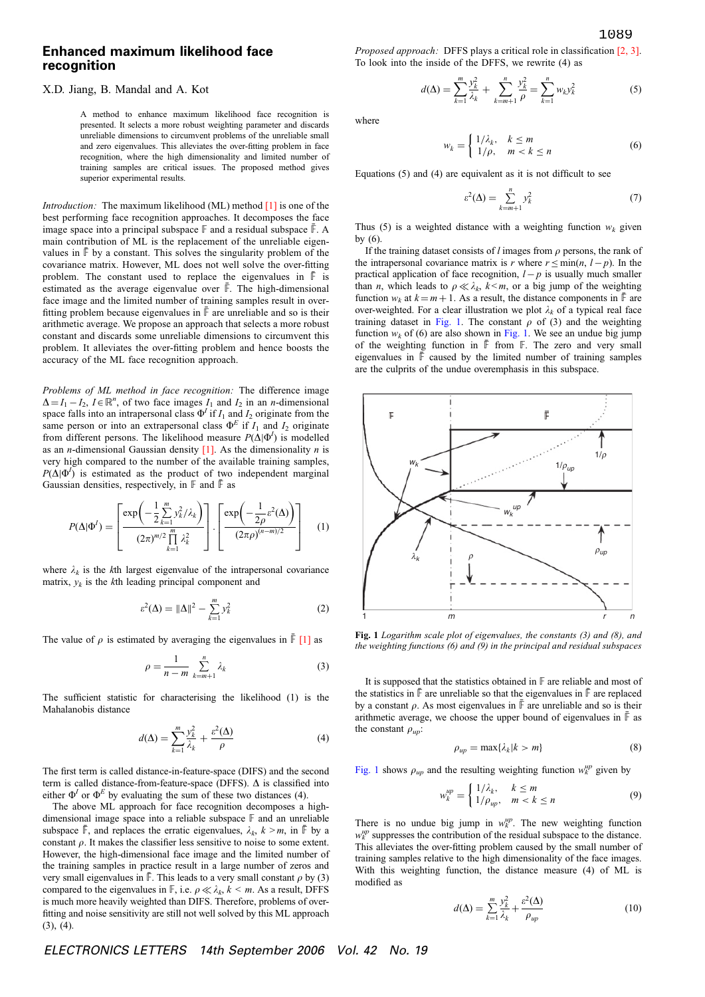## Enhanced maximum likelihood face recognition

## X.D. Jiang, B. Mandal and A. Kot

A method to enhance maximum likelihood face recognition is presented. It selects a more robust weighting parameter and discards unreliable dimensions to circumvent problems of the unreliable small and zero eigenvalues. This alleviates the over-fitting problem in face recognition, where the high dimensionality and limited number of training samples are critical issues. The proposed method gives superior experimental results.

*Introduction:* The maximum likelihood (ML) method  $\lceil 1 \rceil$  is one of the best performing face recognition approaches. It decomposes the face image space into a principal subspace  $\mathbb F$  and a residual subspace  $\mathbb F$ . A main contribution of ML is the replacement of the unreliable eigenvalues in  $\bar{F}$  by a constant. This solves the singularity problem of the covariance matrix. However, ML does not well solve the over-fitting problem. The constant used to replace the eigenvalues in  $\overline{F}$  is estimated as the average eigenvalue over  $\overline{F}$ . The high-dimensional face image and the limited number of training samples result in overfitting problem because eigenvalues in  $\bar{F}$  are unreliable and so is their arithmetic average. We propose an approach that selects a more robust constant and discards some unreliable dimensions to circumvent this problem. It alleviates the over-fitting problem and hence boosts the accuracy of the ML face recognition approach.

Problems of ML method in face recognition: The difference image  $\Delta = I_1 - I_2$ ,  $I \in \mathbb{R}^n$ , of two face images  $I_1$  and  $I_2$  in an *n*-dimensional space falls into an intrapersonal class  $\Phi^I$  if  $I_1$  and  $I_2$  originate from the same person or into an extrapersonal class  $\Phi^E$  if  $I_1$  and  $I_2$  originate from different persons. The likelihood measure  $P(\Delta|\Phi^I)$  is modelled as an *n*-dimensional Gaussian density  $[1]$ . As the dimensionality *n* is very high compared to the number of the available training samples,  $P(\Delta|\Phi^I)$  is estimated as the product of two independent marginal Gaussian densities, respectively, in  $\mathbb F$  and  $\mathbb F$  as

$$
P(\Delta|\Phi^I) = \left[\frac{\exp\left(-\frac{1}{2}\sum_{k=1}^m y_k^2/\lambda_k\right)}{(2\pi)^{m/2}\prod_{k=1}^m \lambda_k^2}\right] \cdot \left[\frac{\exp\left(-\frac{1}{2\rho}\varepsilon^2(\Delta)\right)}{(2\pi\rho)^{(n-m)/2}}\right] \quad (1)
$$

where  $\lambda_k$  is the kth largest eigenvalue of the intrapersonal covariance matrix,  $y_k$  is the kth leading principal component and

$$
\varepsilon^{2}(\Delta) = \|\Delta\|^{2} - \sum_{k=1}^{m} y_{k}^{2}
$$
 (2)

The value of  $\rho$  is estimated by averaging the eigenvalues in  $\bar{F}$  [1] as

$$
\rho = \frac{1}{n-m} \sum_{k=m+1}^{n} \lambda_k \tag{3}
$$

The sufficient statistic for characterising the likelihood (1) is the Mahalanobis distance

$$
d(\Delta) = \sum_{k=1}^{m} \frac{y_k^2}{\lambda_k} + \frac{\varepsilon^2(\Delta)}{\rho}
$$
 (4)

The first term is called distance-in-feature-space (DIFS) and the second term is called distance-from-feature-space (DFFS).  $\Delta$  is classified into either  $\Phi^I$  or  $\Phi^E$  by evaluating the sum of these two distances (4).

The above ML approach for face recognition decomposes a highdimensional image space into a reliable subspace F and an unreliable subspace  $\mathbb{F}$ , and replaces the erratic eigenvalues,  $\lambda_k$ ,  $k > m$ , in  $\mathbb{F}$  by a constant  $\rho$ . It makes the classifier less sensitive to noise to some extent. However, the high-dimensional face image and the limited number of the training samples in practice result in a large number of zeros and very small eigenvalues in  $\overline{\mathbb{F}}$ . This leads to a very small constant  $\rho$  by (3) compared to the eigenvalues in  $\mathbb{F}$ , i.e.  $\rho \ll \lambda_k, k \leq m$ . As a result, DFFS is much more heavily weighted than DIFS. Therefore, problems of overfitting and noise sensitivity are still not well solved by this ML approach (3), (4).

Proposed approach: DFFS plays a critical role in classification [2, 3]. To look into the inside of the DFFS, we rewrite (4) as

$$
d(\Delta) = \sum_{k=1}^{m} \frac{y_k^2}{\lambda_k} + \sum_{k=m+1}^{n} \frac{y_k^2}{\rho} = \sum_{k=1}^{n} w_k y_k^2
$$
 (5)

where

$$
w_k = \begin{cases} 1/\lambda_k, & k \le m \\ 1/\rho, & m < k \le n \end{cases}
$$
 (6)

Equations (5) and (4) are equivalent as it is not difficult to see

$$
\varepsilon^2(\Delta) = \sum_{k=m+1}^n y_k^2 \tag{7}
$$

Thus (5) is a weighted distance with a weighting function  $w_k$  given by (6).

If the training dataset consists of  $l$  images from  $\rho$  persons, the rank of the intrapersonal covariance matrix is r where  $r \leq \min(n, l - p)$ . In the practical application of face recognition,  $l - p$  is usually much smaller than *n*, which leads to  $\rho \ll \lambda_k$ ,  $k < m$ , or a big jump of the weighting function  $w_k$  at  $k = m + 1$ . As a result, the distance components in  $\overline{F}$  are over-weighted. For a clear illustration we plot  $\lambda_k$  of a typical real face training dataset in Fig. 1. The constant  $\rho$  of (3) and the weighting function  $w_k$  of (6) are also shown in Fig. 1. We see an undue big jump of the weighting function in  $\overline{F}$  from  $\overline{F}$ . The zero and very small eigenvalues in  $\bar{F}$  caused by the limited number of training samples are the culprits of the undue overemphasis in this subspace.



Fig. 1 Logarithm scale plot of eigenvalues, the constants (3) and (8), and the weighting functions (6) and (9) in the principal and residual subspaces

It is supposed that the statistics obtained in F are reliable and most of the statistics in  $\bar{\mathbb{F}}$  are unreliable so that the eigenvalues in  $\bar{\mathbb{F}}$  are replaced by a constant  $\rho$ . As most eigenvalues in  $\overline{\mathbb{F}}$  are unreliable and so is their arithmetic average, we choose the upper bound of eigenvalues in  $\bar{\mathbb{F}}$  as the constant  $\rho_{up}$ :

$$
\rho_{up} = \max\{\lambda_k | k > m\} \tag{8}
$$

Fig. 1 shows  $\rho_{up}$  and the resulting weighting function  $w_k^{up}$  given by

$$
w_k^{up} = \begin{cases} 1/\lambda_k, & k \le m \\ 1/\rho_{up}, & m < k \le n \end{cases}
$$
 (9)

There is no undue big jump in  $w_k^{\mu p}$ . The new weighting function  $w_k^{\mu p}$  suppresses the contribution of the residual subspace to the distance. This alleviates the over-fitting problem caused by the small number of training samples relative to the high dimensionality of the face images. With this weighting function, the distance measure (4) of ML is modified as

$$
d(\Delta) = \sum_{k=1}^{m} \frac{y_k^2}{\lambda_k} + \frac{\varepsilon^2(\Delta)}{\rho_{up}}
$$
(10)

ELECTRONICS LETTERS 14th September 2006 Vol. 42 No. 19